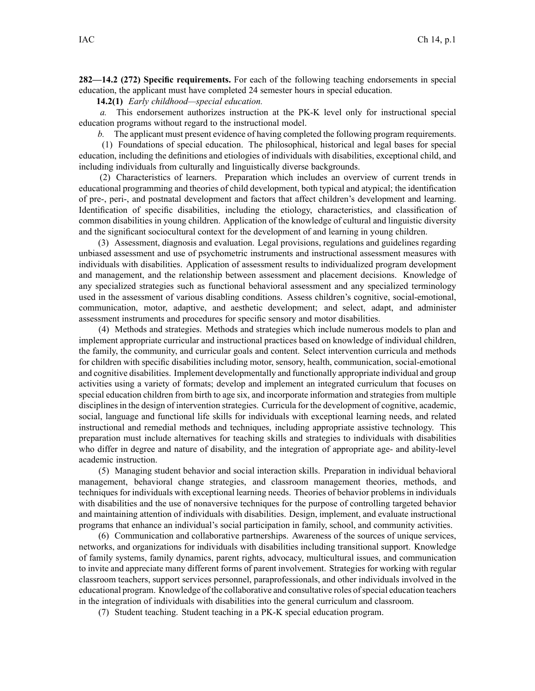**282—14.2 (272) Specific requirements.** For each of the following teaching endorsements in special education, the applicant must have completed 24 semester hours in special education.

**14.2(1)** *Early childhood—special education.*

*a.* This endorsement authorizes instruction at the PK-K level only for instructional special education programs without regard to the instructional model.

*b.* The applicant must presen<sup>t</sup> evidence of having completed the following program requirements.

(1) Foundations of special education. The philosophical, historical and legal bases for special education, including the definitions and etiologies of individuals with disabilities, exceptional child, and including individuals from culturally and linguistically diverse backgrounds.

(2) Characteristics of learners. Preparation which includes an overview of current trends in educational programming and theories of child development, both typical and atypical; the identification of pre-, peri-, and postnatal development and factors that affect children's development and learning. Identification of specific disabilities, including the etiology, characteristics, and classification of common disabilities in young children. Application of the knowledge of cultural and linguistic diversity and the significant sociocultural context for the development of and learning in young children.

(3) Assessment, diagnosis and evaluation. Legal provisions, regulations and guidelines regarding unbiased assessment and use of psychometric instruments and instructional assessment measures with individuals with disabilities. Application of assessment results to individualized program development and management, and the relationship between assessment and placement decisions. Knowledge of any specialized strategies such as functional behavioral assessment and any specialized terminology used in the assessment of various disabling conditions. Assess children's cognitive, social-emotional, communication, motor, adaptive, and aesthetic development; and select, adapt, and administer assessment instruments and procedures for specific sensory and motor disabilities.

(4) Methods and strategies. Methods and strategies which include numerous models to plan and implement appropriate curricular and instructional practices based on knowledge of individual children, the family, the community, and curricular goals and content. Select intervention curricula and methods for children with specific disabilities including motor, sensory, health, communication, social-emotional and cognitive disabilities. Implement developmentally and functionally appropriate individual and group activities using <sup>a</sup> variety of formats; develop and implement an integrated curriculum that focuses on special education children from birth to age six, and incorporate information and strategies from multiple disciplines in the design of intervention strategies. Curricula for the development of cognitive, academic, social, language and functional life skills for individuals with exceptional learning needs, and related instructional and remedial methods and techniques, including appropriate assistive technology. This preparation must include alternatives for teaching skills and strategies to individuals with disabilities who differ in degree and nature of disability, and the integration of appropriate age- and ability-level academic instruction.

(5) Managing student behavior and social interaction skills. Preparation in individual behavioral management, behavioral change strategies, and classroom managemen<sup>t</sup> theories, methods, and techniques for individuals with exceptional learning needs. Theories of behavior problems in individuals with disabilities and the use of nonaversive techniques for the purpose of controlling targeted behavior and maintaining attention of individuals with disabilities. Design, implement, and evaluate instructional programs that enhance an individual's social participation in family, school, and community activities.

(6) Communication and collaborative partnerships. Awareness of the sources of unique services, networks, and organizations for individuals with disabilities including transitional support. Knowledge of family systems, family dynamics, paren<sup>t</sup> rights, advocacy, multicultural issues, and communication to invite and appreciate many different forms of paren<sup>t</sup> involvement. Strategies for working with regular classroom teachers, suppor<sup>t</sup> services personnel, paraprofessionals, and other individuals involved in the educational program. Knowledge of the collaborative and consultative roles ofspecial education teachers in the integration of individuals with disabilities into the general curriculum and classroom.

(7) Student teaching. Student teaching in <sup>a</sup> PK-K special education program.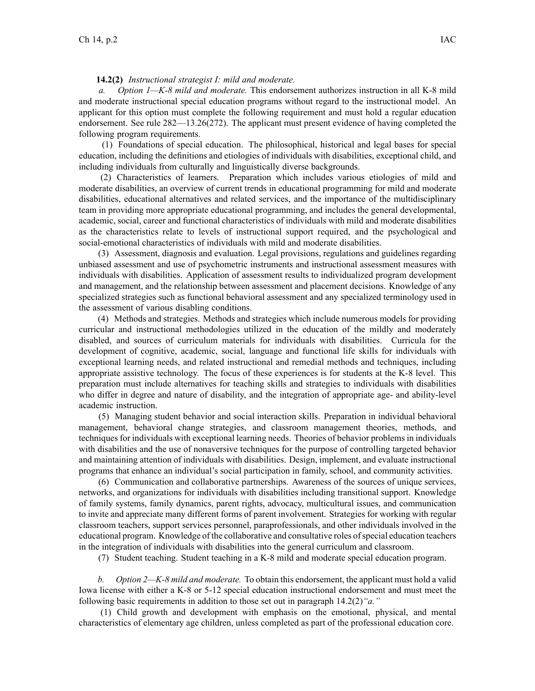## **14.2(2)** *Instructional strategist I: mild and moderate.*

*a. Option 1—K-8 mild and moderate.* This endorsement authorizes instruction in all K-8 mild and moderate instructional special education programs without regard to the instructional model. An applicant for this option must complete the following requirement and must hold <sup>a</sup> regular education endorsement. See rule 282—13.26(272). The applicant must presen<sup>t</sup> evidence of having completed the following program requirements.

(1) Foundations of special education. The philosophical, historical and legal bases for special education, including the definitions and etiologies of individuals with disabilities, exceptional child, and including individuals from culturally and linguistically diverse backgrounds.

(2) Characteristics of learners. Preparation which includes various etiologies of mild and moderate disabilities, an overview of current trends in educational programming for mild and moderate disabilities, educational alternatives and related services, and the importance of the multidisciplinary team in providing more appropriate educational programming, and includes the general developmental, academic, social, career and functional characteristics of individuals with mild and moderate disabilities as the characteristics relate to levels of instructional suppor<sup>t</sup> required, and the psychological and social-emotional characteristics of individuals with mild and moderate disabilities.

(3) Assessment, diagnosis and evaluation. Legal provisions, regulations and guidelines regarding unbiased assessment and use of psychometric instruments and instructional assessment measures with individuals with disabilities. Application of assessment results to individualized program development and management, and the relationship between assessment and placement decisions. Knowledge of any specialized strategies such as functional behavioral assessment and any specialized terminology used in the assessment of various disabling conditions.

(4) Methods and strategies. Methods and strategies which include numerous models for providing curricular and instructional methodologies utilized in the education of the mildly and moderately disabled, and sources of curriculum materials for individuals with disabilities. Curricula for the development of cognitive, academic, social, language and functional life skills for individuals with exceptional learning needs, and related instructional and remedial methods and techniques, including appropriate assistive technology. The focus of these experiences is for students at the K-8 level. This preparation must include alternatives for teaching skills and strategies to individuals with disabilities who differ in degree and nature of disability, and the integration of appropriate age- and ability-level academic instruction.

(5) Managing student behavior and social interaction skills. Preparation in individual behavioral management, behavioral change strategies, and classroom managemen<sup>t</sup> theories, methods, and techniques for individuals with exceptional learning needs. Theories of behavior problems in individuals with disabilities and the use of nonaversive techniques for the purpose of controlling targeted behavior and maintaining attention of individuals with disabilities. Design, implement, and evaluate instructional programs that enhance an individual's social participation in family, school, and community activities.

(6) Communication and collaborative partnerships. Awareness of the sources of unique services, networks, and organizations for individuals with disabilities including transitional support. Knowledge of family systems, family dynamics, paren<sup>t</sup> rights, advocacy, multicultural issues, and communication to invite and appreciate many different forms of paren<sup>t</sup> involvement. Strategies for working with regular classroom teachers, suppor<sup>t</sup> services personnel, paraprofessionals, and other individuals involved in the educational program. Knowledge of the collaborative and consultative roles ofspecial education teachers in the integration of individuals with disabilities into the general curriculum and classroom.

(7) Student teaching. Student teaching in <sup>a</sup> K-8 mild and moderate special education program.

*b. Option 2—K-8 mild and moderate.* To obtain this endorsement, the applicant must hold <sup>a</sup> valid Iowa license with either <sup>a</sup> K-8 or 5-12 special education instructional endorsement and must meet the following basic requirements in addition to those set out in paragraph 14.2(2)*"a."*

(1) Child growth and development with emphasis on the emotional, physical, and mental characteristics of elementary age children, unless completed as par<sup>t</sup> of the professional education core.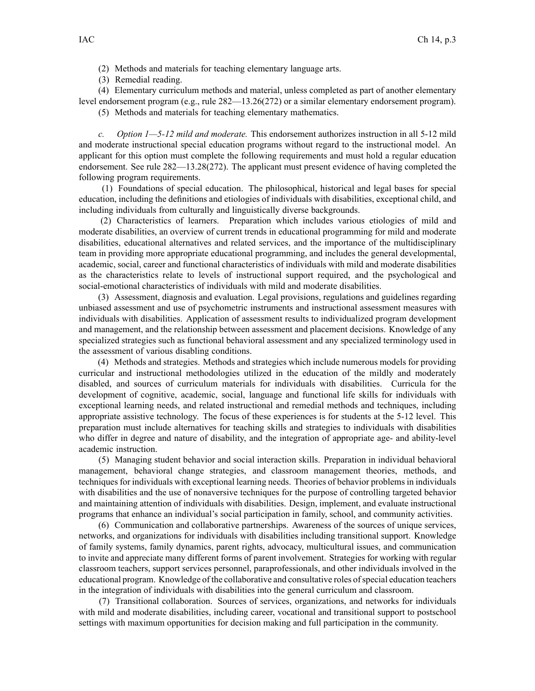- (2) Methods and materials for teaching elementary language arts.
- (3) Remedial reading.

(4) Elementary curriculum methods and material, unless completed as par<sup>t</sup> of another elementary level endorsement program (e.g., rule 282—13.26(272) or <sup>a</sup> similar elementary endorsement program).

(5) Methods and materials for teaching elementary mathematics.

*c. Option 1—5-12 mild and moderate.* This endorsement authorizes instruction in all 5-12 mild and moderate instructional special education programs without regard to the instructional model. An applicant for this option must complete the following requirements and must hold <sup>a</sup> regular education endorsement. See rule 282—13.28(272). The applicant must presen<sup>t</sup> evidence of having completed the following program requirements.

(1) Foundations of special education. The philosophical, historical and legal bases for special education, including the definitions and etiologies of individuals with disabilities, exceptional child, and including individuals from culturally and linguistically diverse backgrounds.

(2) Characteristics of learners. Preparation which includes various etiologies of mild and moderate disabilities, an overview of current trends in educational programming for mild and moderate disabilities, educational alternatives and related services, and the importance of the multidisciplinary team in providing more appropriate educational programming, and includes the general developmental, academic, social, career and functional characteristics of individuals with mild and moderate disabilities as the characteristics relate to levels of instructional suppor<sup>t</sup> required, and the psychological and social-emotional characteristics of individuals with mild and moderate disabilities.

(3) Assessment, diagnosis and evaluation. Legal provisions, regulations and guidelines regarding unbiased assessment and use of psychometric instruments and instructional assessment measures with individuals with disabilities. Application of assessment results to individualized program development and management, and the relationship between assessment and placement decisions. Knowledge of any specialized strategies such as functional behavioral assessment and any specialized terminology used in the assessment of various disabling conditions.

(4) Methods and strategies. Methods and strategies which include numerous models for providing curricular and instructional methodologies utilized in the education of the mildly and moderately disabled, and sources of curriculum materials for individuals with disabilities. Curricula for the development of cognitive, academic, social, language and functional life skills for individuals with exceptional learning needs, and related instructional and remedial methods and techniques, including appropriate assistive technology. The focus of these experiences is for students at the 5-12 level. This preparation must include alternatives for teaching skills and strategies to individuals with disabilities who differ in degree and nature of disability, and the integration of appropriate age- and ability-level academic instruction.

(5) Managing student behavior and social interaction skills. Preparation in individual behavioral management, behavioral change strategies, and classroom managemen<sup>t</sup> theories, methods, and techniques for individuals with exceptional learning needs. Theories of behavior problems in individuals with disabilities and the use of nonaversive techniques for the purpose of controlling targeted behavior and maintaining attention of individuals with disabilities. Design, implement, and evaluate instructional programs that enhance an individual's social participation in family, school, and community activities.

(6) Communication and collaborative partnerships. Awareness of the sources of unique services, networks, and organizations for individuals with disabilities including transitional support. Knowledge of family systems, family dynamics, paren<sup>t</sup> rights, advocacy, multicultural issues, and communication to invite and appreciate many different forms of paren<sup>t</sup> involvement. Strategies for working with regular classroom teachers, suppor<sup>t</sup> services personnel, paraprofessionals, and other individuals involved in the educational program. Knowledge of the collaborative and consultative roles ofspecial education teachers in the integration of individuals with disabilities into the general curriculum and classroom.

(7) Transitional collaboration. Sources of services, organizations, and networks for individuals with mild and moderate disabilities, including career, vocational and transitional suppor<sup>t</sup> to postschool settings with maximum opportunities for decision making and full participation in the community.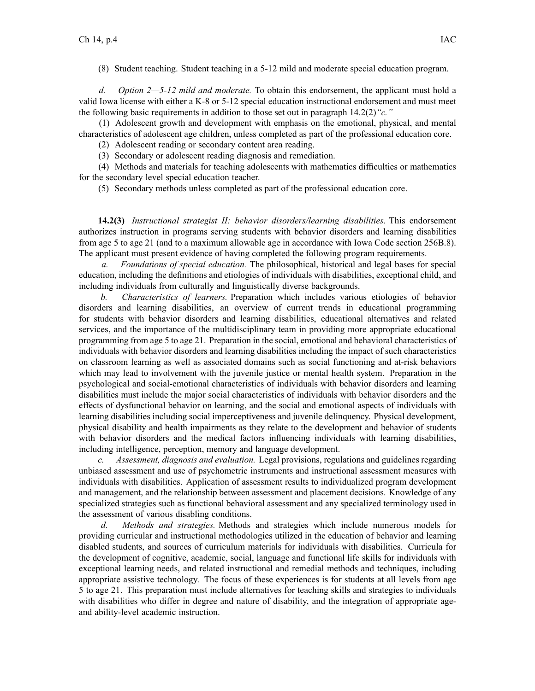(8) Student teaching. Student teaching in <sup>a</sup> 5-12 mild and moderate special education program.

*d. Option 2—5-12 mild and moderate.* To obtain this endorsement, the applicant must hold <sup>a</sup> valid Iowa license with either <sup>a</sup> K-8 or 5-12 special education instructional endorsement and must meet the following basic requirements in addition to those set out in paragraph 14.2(2)*"c."*

(1) Adolescent growth and development with emphasis on the emotional, physical, and mental characteristics of adolescent age children, unless completed as par<sup>t</sup> of the professional education core.

(2) Adolescent reading or secondary content area reading.

(3) Secondary or adolescent reading diagnosis and remediation.

(4) Methods and materials for teaching adolescents with mathematics difficulties or mathematics for the secondary level special education teacher.

(5) Secondary methods unless completed as par<sup>t</sup> of the professional education core.

**14.2(3)** *Instructional strategist II: behavior disorders/learning disabilities.* This endorsement authorizes instruction in programs serving students with behavior disorders and learning disabilities from age 5 to age 21 (and to <sup>a</sup> maximum allowable age in accordance with Iowa Code section [256B.8](https://www.legis.iowa.gov/docs/ico/section/256B.8.pdf)). The applicant must presen<sup>t</sup> evidence of having completed the following program requirements.

*a. Foundations of special education.* The philosophical, historical and legal bases for special education, including the definitions and etiologies of individuals with disabilities, exceptional child, and including individuals from culturally and linguistically diverse backgrounds.

*b. Characteristics of learners.* Preparation which includes various etiologies of behavior disorders and learning disabilities, an overview of current trends in educational programming for students with behavior disorders and learning disabilities, educational alternatives and related services, and the importance of the multidisciplinary team in providing more appropriate educational programming from age 5 to age 21. Preparation in the social, emotional and behavioral characteristics of individuals with behavior disorders and learning disabilities including the impact of such characteristics on classroom learning as well as associated domains such as social functioning and at-risk behaviors which may lead to involvement with the juvenile justice or mental health system. Preparation in the psychological and social-emotional characteristics of individuals with behavior disorders and learning disabilities must include the major social characteristics of individuals with behavior disorders and the effects of dysfunctional behavior on learning, and the social and emotional aspects of individuals with learning disabilities including social imperceptiveness and juvenile delinquency. Physical development, physical disability and health impairments as they relate to the development and behavior of students with behavior disorders and the medical factors influencing individuals with learning disabilities, including intelligence, perception, memory and language development.

*c. Assessment, diagnosis and evaluation.* Legal provisions, regulations and guidelines regarding unbiased assessment and use of psychometric instruments and instructional assessment measures with individuals with disabilities. Application of assessment results to individualized program development and management, and the relationship between assessment and placement decisions. Knowledge of any specialized strategies such as functional behavioral assessment and any specialized terminology used in the assessment of various disabling conditions.

*d. Methods and strategies.* Methods and strategies which include numerous models for providing curricular and instructional methodologies utilized in the education of behavior and learning disabled students, and sources of curriculum materials for individuals with disabilities. Curricula for the development of cognitive, academic, social, language and functional life skills for individuals with exceptional learning needs, and related instructional and remedial methods and techniques, including appropriate assistive technology. The focus of these experiences is for students at all levels from age 5 to age 21. This preparation must include alternatives for teaching skills and strategies to individuals with disabilities who differ in degree and nature of disability, and the integration of appropriate ageand ability-level academic instruction.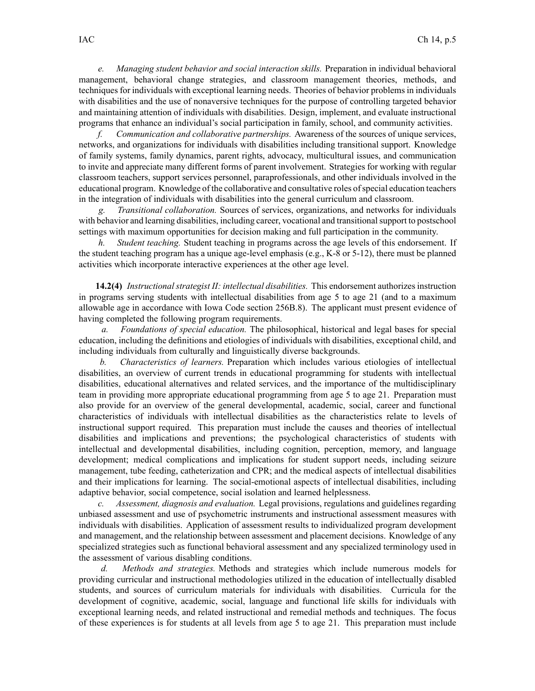*e. Managing student behavior and social interaction skills.* Preparation in individual behavioral management, behavioral change strategies, and classroom managemen<sup>t</sup> theories, methods, and techniques for individuals with exceptional learning needs. Theories of behavior problems in individuals with disabilities and the use of nonaversive techniques for the purpose of controlling targeted behavior and maintaining attention of individuals with disabilities. Design, implement, and evaluate instructional programs that enhance an individual's social participation in family, school, and community activities.

*f. Communication and collaborative partnerships.* Awareness of the sources of unique services, networks, and organizations for individuals with disabilities including transitional support. Knowledge of family systems, family dynamics, paren<sup>t</sup> rights, advocacy, multicultural issues, and communication to invite and appreciate many different forms of paren<sup>t</sup> involvement. Strategies for working with regular classroom teachers, suppor<sup>t</sup> services personnel, paraprofessionals, and other individuals involved in the educational program. Knowledge of the collaborative and consultative roles of special education teachers in the integration of individuals with disabilities into the general curriculum and classroom.

*Transitional collaboration.* Sources of services, organizations, and networks for individuals with behavior and learning disabilities, including career, vocational and transitional support to postschool settings with maximum opportunities for decision making and full participation in the community.

*h. Student teaching.* Student teaching in programs across the age levels of this endorsement. If the student teaching program has <sup>a</sup> unique age-level emphasis (e.g., K-8 or 5-12), there must be planned activities which incorporate interactive experiences at the other age level.

**14.2(4)** *Instructional strategist II: intellectual disabilities.* This endorsement authorizes instruction in programs serving students with intellectual disabilities from age 5 to age 21 (and to <sup>a</sup> maximum allowable age in accordance with Iowa Code section [256B.8](https://www.legis.iowa.gov/docs/ico/section/256B.8.pdf)). The applicant must presen<sup>t</sup> evidence of having completed the following program requirements.

*a. Foundations of special education.* The philosophical, historical and legal bases for special education, including the definitions and etiologies of individuals with disabilities, exceptional child, and including individuals from culturally and linguistically diverse backgrounds.

*b. Characteristics of learners.* Preparation which includes various etiologies of intellectual disabilities, an overview of current trends in educational programming for students with intellectual disabilities, educational alternatives and related services, and the importance of the multidisciplinary team in providing more appropriate educational programming from age 5 to age 21. Preparation must also provide for an overview of the general developmental, academic, social, career and functional characteristics of individuals with intellectual disabilities as the characteristics relate to levels of instructional suppor<sup>t</sup> required. This preparation must include the causes and theories of intellectual disabilities and implications and preventions; the psychological characteristics of students with intellectual and developmental disabilities, including cognition, perception, memory, and language development; medical complications and implications for student suppor<sup>t</sup> needs, including seizure management, tube feeding, catheterization and CPR; and the medical aspects of intellectual disabilities and their implications for learning. The social-emotional aspects of intellectual disabilities, including adaptive behavior, social competence, social isolation and learned helplessness.

*c. Assessment, diagnosis and evaluation.* Legal provisions, regulations and guidelines regarding unbiased assessment and use of psychometric instruments and instructional assessment measures with individuals with disabilities. Application of assessment results to individualized program development and management, and the relationship between assessment and placement decisions. Knowledge of any specialized strategies such as functional behavioral assessment and any specialized terminology used in the assessment of various disabling conditions.

*d. Methods and strategies.* Methods and strategies which include numerous models for providing curricular and instructional methodologies utilized in the education of intellectually disabled students, and sources of curriculum materials for individuals with disabilities. Curricula for the development of cognitive, academic, social, language and functional life skills for individuals with exceptional learning needs, and related instructional and remedial methods and techniques. The focus of these experiences is for students at all levels from age 5 to age 21. This preparation must include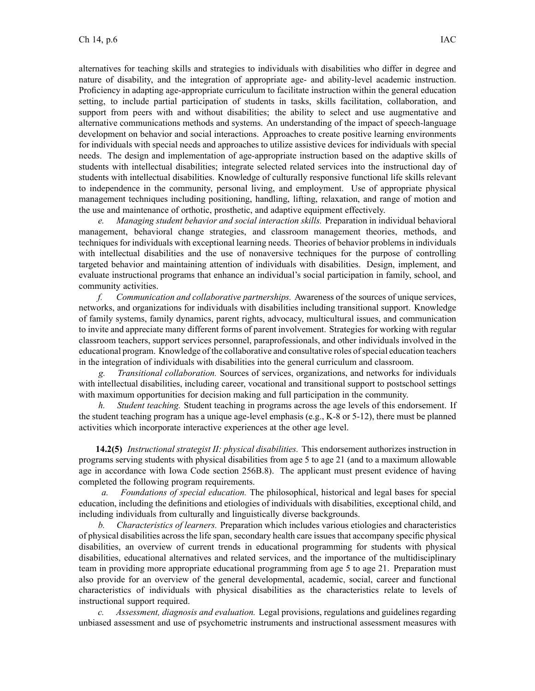alternatives for teaching skills and strategies to individuals with disabilities who differ in degree and nature of disability, and the integration of appropriate age- and ability-level academic instruction. Proficiency in adapting age-appropriate curriculum to facilitate instruction within the general education setting, to include partial participation of students in tasks, skills facilitation, collaboration, and suppor<sup>t</sup> from peers with and without disabilities; the ability to select and use augmentative and alternative communications methods and systems. An understanding of the impact of speech-language development on behavior and social interactions. Approaches to create positive learning environments for individuals with special needs and approaches to utilize assistive devices for individuals with special needs. The design and implementation of age-appropriate instruction based on the adaptive skills of students with intellectual disabilities; integrate selected related services into the instructional day of students with intellectual disabilities. Knowledge of culturally responsive functional life skills relevant to independence in the community, personal living, and employment. Use of appropriate physical managemen<sup>t</sup> techniques including positioning, handling, lifting, relaxation, and range of motion and the use and maintenance of orthotic, prosthetic, and adaptive equipment effectively.

*e. Managing student behavior and social interaction skills.* Preparation in individual behavioral management, behavioral change strategies, and classroom managemen<sup>t</sup> theories, methods, and techniques for individuals with exceptional learning needs. Theories of behavior problems in individuals with intellectual disabilities and the use of nonaversive techniques for the purpose of controlling targeted behavior and maintaining attention of individuals with disabilities. Design, implement, and evaluate instructional programs that enhance an individual's social participation in family, school, and community activities.

*f. Communication and collaborative partnerships.* Awareness of the sources of unique services, networks, and organizations for individuals with disabilities including transitional support. Knowledge of family systems, family dynamics, paren<sup>t</sup> rights, advocacy, multicultural issues, and communication to invite and appreciate many different forms of paren<sup>t</sup> involvement. Strategies for working with regular classroom teachers, suppor<sup>t</sup> services personnel, paraprofessionals, and other individuals involved in the educational program. Knowledge of the collaborative and consultative roles of special education teachers in the integration of individuals with disabilities into the general curriculum and classroom.

*g. Transitional collaboration.* Sources of services, organizations, and networks for individuals with intellectual disabilities, including career, vocational and transitional suppor<sup>t</sup> to postschool settings with maximum opportunities for decision making and full participation in the community.

*h. Student teaching.* Student teaching in programs across the age levels of this endorsement. If the student teaching program has <sup>a</sup> unique age-level emphasis (e.g., K-8 or 5-12), there must be planned activities which incorporate interactive experiences at the other age level.

**14.2(5)** *Instructional strategist II: physical disabilities.* This endorsement authorizes instruction in programs serving students with physical disabilities from age 5 to age 21 (and to <sup>a</sup> maximum allowable age in accordance with Iowa Code section [256B.8\)](https://www.legis.iowa.gov/docs/ico/section/256B.8.pdf). The applicant must presen<sup>t</sup> evidence of having completed the following program requirements.

*a. Foundations of special education.* The philosophical, historical and legal bases for special education, including the definitions and etiologies of individuals with disabilities, exceptional child, and including individuals from culturally and linguistically diverse backgrounds.

*b. Characteristics of learners.* Preparation which includes various etiologies and characteristics of physical disabilities acrossthe life span, secondary health care issuesthat accompany specific physical disabilities, an overview of current trends in educational programming for students with physical disabilities, educational alternatives and related services, and the importance of the multidisciplinary team in providing more appropriate educational programming from age 5 to age 21. Preparation must also provide for an overview of the general developmental, academic, social, career and functional characteristics of individuals with physical disabilities as the characteristics relate to levels of instructional suppor<sup>t</sup> required.

*c. Assessment, diagnosis and evaluation.* Legal provisions, regulations and guidelines regarding unbiased assessment and use of psychometric instruments and instructional assessment measures with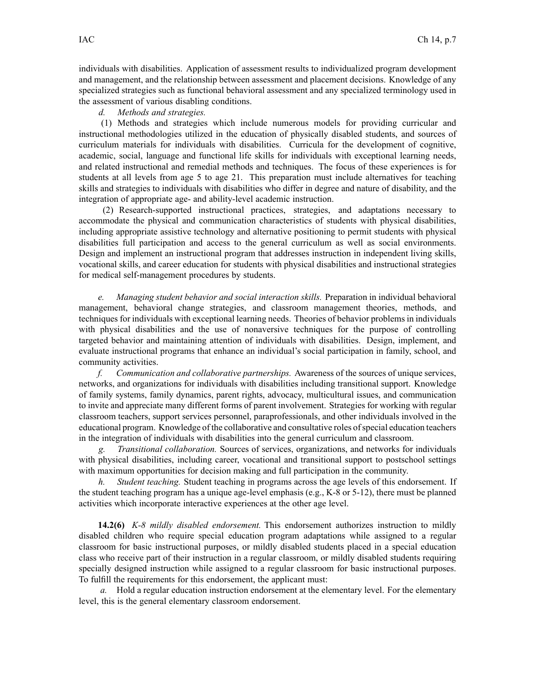individuals with disabilities. Application of assessment results to individualized program development and management, and the relationship between assessment and placement decisions. Knowledge of any specialized strategies such as functional behavioral assessment and any specialized terminology used in the assessment of various disabling conditions.

## *d. Methods and strategies.*

(1) Methods and strategies which include numerous models for providing curricular and instructional methodologies utilized in the education of physically disabled students, and sources of curriculum materials for individuals with disabilities. Curricula for the development of cognitive, academic, social, language and functional life skills for individuals with exceptional learning needs, and related instructional and remedial methods and techniques. The focus of these experiences is for students at all levels from age 5 to age 21. This preparation must include alternatives for teaching skills and strategies to individuals with disabilities who differ in degree and nature of disability, and the integration of appropriate age- and ability-level academic instruction.

(2) Research-supported instructional practices, strategies, and adaptations necessary to accommodate the physical and communication characteristics of students with physical disabilities, including appropriate assistive technology and alternative positioning to permit students with physical disabilities full participation and access to the general curriculum as well as social environments. Design and implement an instructional program that addresses instruction in independent living skills, vocational skills, and career education for students with physical disabilities and instructional strategies for medical self-management procedures by students.

*e. Managing student behavior and social interaction skills.* Preparation in individual behavioral management, behavioral change strategies, and classroom managemen<sup>t</sup> theories, methods, and techniques for individuals with exceptional learning needs. Theories of behavior problems in individuals with physical disabilities and the use of nonaversive techniques for the purpose of controlling targeted behavior and maintaining attention of individuals with disabilities. Design, implement, and evaluate instructional programs that enhance an individual's social participation in family, school, and community activities.

*f. Communication and collaborative partnerships.* Awareness of the sources of unique services, networks, and organizations for individuals with disabilities including transitional support. Knowledge of family systems, family dynamics, paren<sup>t</sup> rights, advocacy, multicultural issues, and communication to invite and appreciate many different forms of paren<sup>t</sup> involvement. Strategies for working with regular classroom teachers, suppor<sup>t</sup> services personnel, paraprofessionals, and other individuals involved in the educational program. Knowledge of the collaborative and consultative roles ofspecial education teachers in the integration of individuals with disabilities into the general curriculum and classroom.

*g. Transitional collaboration.* Sources of services, organizations, and networks for individuals with physical disabilities, including career, vocational and transitional suppor<sup>t</sup> to postschool settings with maximum opportunities for decision making and full participation in the community.

*h. Student teaching.* Student teaching in programs across the age levels of this endorsement. If the student teaching program has <sup>a</sup> unique age-level emphasis (e.g., K-8 or 5-12), there must be planned activities which incorporate interactive experiences at the other age level.

**14.2(6)** *K-8 mildly disabled endorsement.* This endorsement authorizes instruction to mildly disabled children who require special education program adaptations while assigned to <sup>a</sup> regular classroom for basic instructional purposes, or mildly disabled students placed in <sup>a</sup> special education class who receive par<sup>t</sup> of their instruction in <sup>a</sup> regular classroom, or mildly disabled students requiring specially designed instruction while assigned to <sup>a</sup> regular classroom for basic instructional purposes. To fulfill the requirements for this endorsement, the applicant must:

*a.* Hold <sup>a</sup> regular education instruction endorsement at the elementary level. For the elementary level, this is the general elementary classroom endorsement.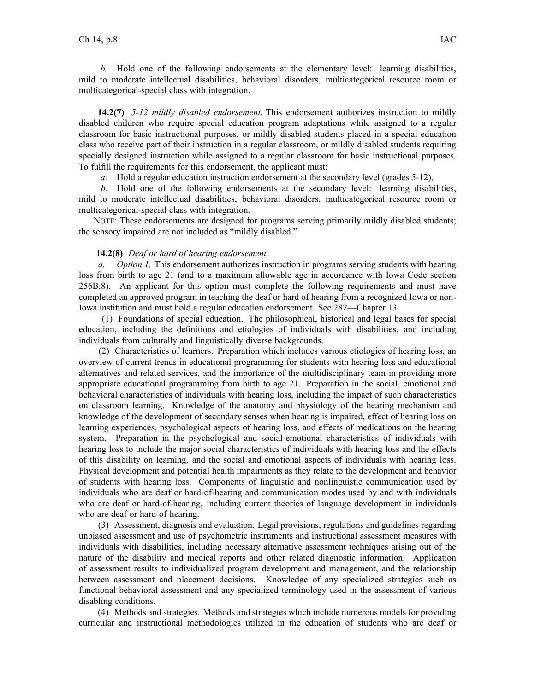*b.* Hold one of the following endorsements at the elementary level: learning disabilities, mild to moderate intellectual disabilities, behavioral disorders, multicategorical resource room or multicategorical-special class with integration.

**14.2(7)** *5-12 mildly disabled endorsement.* This endorsement authorizes instruction to mildly disabled children who require special education program adaptations while assigned to <sup>a</sup> regular classroom for basic instructional purposes, or mildly disabled students placed in <sup>a</sup> special education class who receive par<sup>t</sup> of their instruction in <sup>a</sup> regular classroom, or mildly disabled students requiring specially designed instruction while assigned to <sup>a</sup> regular classroom for basic instructional purposes. To fulfill the requirements for this endorsement, the applicant must:

*a.* Hold <sup>a</sup> regular education instruction endorsement at the secondary level (grades 5-12).

*b.* Hold one of the following endorsements at the secondary level: learning disabilities, mild to moderate intellectual disabilities, behavioral disorders, multicategorical resource room or multicategorical-special class with integration.

NOTE: These endorsements are designed for programs serving primarily mildly disabled students; the sensory impaired are not included as "mildly disabled."

## **14.2(8)** *Deaf or hard of hearing endorsement.*

*a. Option 1.* This endorsement authorizes instruction in programs serving students with hearing loss from birth to age 21 (and to <sup>a</sup> maximum allowable age in accordance with Iowa Code section [256B.8](https://www.legis.iowa.gov/docs/ico/section/256B.8.pdf)). An applicant for this option must complete the following requirements and must have completed an approved program in teaching the deaf or hard of hearing from <sup>a</sup> recognized Iowa or non-Iowa institution and must hold <sup>a</sup> regular education endorsement. See 282—Chapter 13.

(1) Foundations of special education. The philosophical, historical and legal bases for special education, including the definitions and etiologies of individuals with disabilities, and including individuals from culturally and linguistically diverse backgrounds.

(2) Characteristics of learners. Preparation which includes various etiologies of hearing loss, an overview of current trends in educational programming for students with hearing loss and educational alternatives and related services, and the importance of the multidisciplinary team in providing more appropriate educational programming from birth to age 21. Preparation in the social, emotional and behavioral characteristics of individuals with hearing loss, including the impact of such characteristics on classroom learning. Knowledge of the anatomy and physiology of the hearing mechanism and knowledge of the development of secondary senses when hearing is impaired, effect of hearing loss on learning experiences, psychological aspects of hearing loss, and effects of medications on the hearing system. Preparation in the psychological and social-emotional characteristics of individuals with hearing loss to include the major social characteristics of individuals with hearing loss and the effects of this disability on learning, and the social and emotional aspects of individuals with hearing loss. Physical development and potential health impairments as they relate to the development and behavior of students with hearing loss. Components of linguistic and nonlinguistic communication used by individuals who are deaf or hard-of-hearing and communication modes used by and with individuals who are deaf or hard-of-hearing, including current theories of language development in individuals who are deaf or hard-of-hearing.

(3) Assessment, diagnosis and evaluation. Legal provisions, regulations and guidelines regarding unbiased assessment and use of psychometric instruments and instructional assessment measures with individuals with disabilities, including necessary alternative assessment techniques arising out of the nature of the disability and medical reports and other related diagnostic information. Application of assessment results to individualized program development and management, and the relationship between assessment and placement decisions. Knowledge of any specialized strategies such as functional behavioral assessment and any specialized terminology used in the assessment of various disabling conditions.

(4) Methods and strategies. Methods and strategies which include numerous models for providing curricular and instructional methodologies utilized in the education of students who are deaf or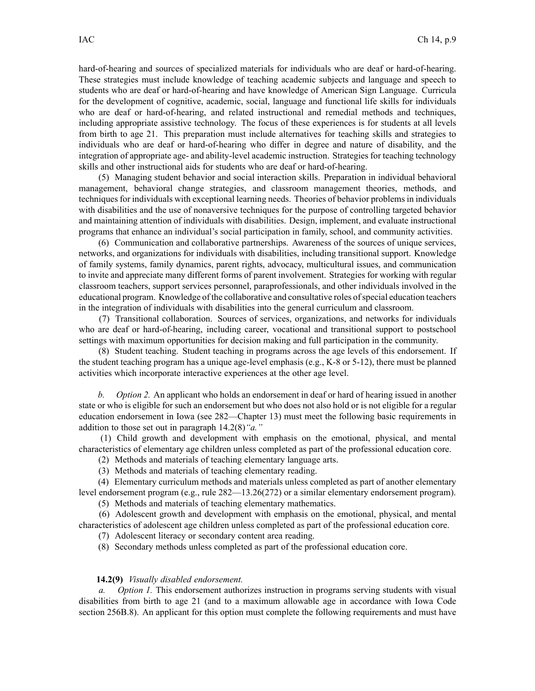hard-of-hearing and sources of specialized materials for individuals who are deaf or hard-of-hearing. These strategies must include knowledge of teaching academic subjects and language and speech to students who are deaf or hard-of-hearing and have knowledge of American Sign Language. Curricula for the development of cognitive, academic, social, language and functional life skills for individuals who are deaf or hard-of-hearing, and related instructional and remedial methods and techniques, including appropriate assistive technology. The focus of these experiences is for students at all levels from birth to age 21. This preparation must include alternatives for teaching skills and strategies to individuals who are deaf or hard-of-hearing who differ in degree and nature of disability, and the integration of appropriate age- and ability-level academic instruction. Strategies for teaching technology skills and other instructional aids for students who are deaf or hard-of-hearing.

(5) Managing student behavior and social interaction skills. Preparation in individual behavioral management, behavioral change strategies, and classroom managemen<sup>t</sup> theories, methods, and techniques for individuals with exceptional learning needs. Theories of behavior problems in individuals with disabilities and the use of nonaversive techniques for the purpose of controlling targeted behavior and maintaining attention of individuals with disabilities. Design, implement, and evaluate instructional programs that enhance an individual's social participation in family, school, and community activities.

(6) Communication and collaborative partnerships. Awareness of the sources of unique services, networks, and organizations for individuals with disabilities, including transitional support. Knowledge of family systems, family dynamics, paren<sup>t</sup> rights, advocacy, multicultural issues, and communication to invite and appreciate many different forms of paren<sup>t</sup> involvement. Strategies for working with regular classroom teachers, suppor<sup>t</sup> services personnel, paraprofessionals, and other individuals involved in the educational program. Knowledge of the collaborative and consultative roles ofspecial education teachers in the integration of individuals with disabilities into the general curriculum and classroom.

(7) Transitional collaboration. Sources of services, organizations, and networks for individuals who are deaf or hard-of-hearing, including career, vocational and transitional suppor<sup>t</sup> to postschool settings with maximum opportunities for decision making and full participation in the community.

(8) Student teaching. Student teaching in programs across the age levels of this endorsement. If the student teaching program has <sup>a</sup> unique age-level emphasis (e.g., K-8 or 5-12), there must be planned activities which incorporate interactive experiences at the other age level.

*b. Option 2.* An applicant who holds an endorsement in deaf or hard of hearing issued in another state or who is eligible for such an endorsement but who does not also hold or is not eligible for <sup>a</sup> regular education endorsement in Iowa (see 282—Chapter 13) must meet the following basic requirements in addition to those set out in paragraph 14.2(8)*"a."*

(1) Child growth and development with emphasis on the emotional, physical, and mental characteristics of elementary age children unless completed as par<sup>t</sup> of the professional education core.

- (2) Methods and materials of teaching elementary language arts.
- (3) Methods and materials of teaching elementary reading.

(4) Elementary curriculum methods and materials unless completed as par<sup>t</sup> of another elementary level endorsement program (e.g., rule 282—13.26(272) or <sup>a</sup> similar elementary endorsement program).

(5) Methods and materials of teaching elementary mathematics.

(6) Adolescent growth and development with emphasis on the emotional, physical, and mental characteristics of adolescent age children unless completed as par<sup>t</sup> of the professional education core.

- (7) Adolescent literacy or secondary content area reading.
- (8) Secondary methods unless completed as par<sup>t</sup> of the professional education core.

## **14.2(9)** *Visually disabled endorsement.*

*a. Option 1.* This endorsement authorizes instruction in programs serving students with visual disabilities from birth to age 21 (and to <sup>a</sup> maximum allowable age in accordance with Iowa Code section [256B.8](https://www.legis.iowa.gov/docs/ico/section/256B.8.pdf)). An applicant for this option must complete the following requirements and must have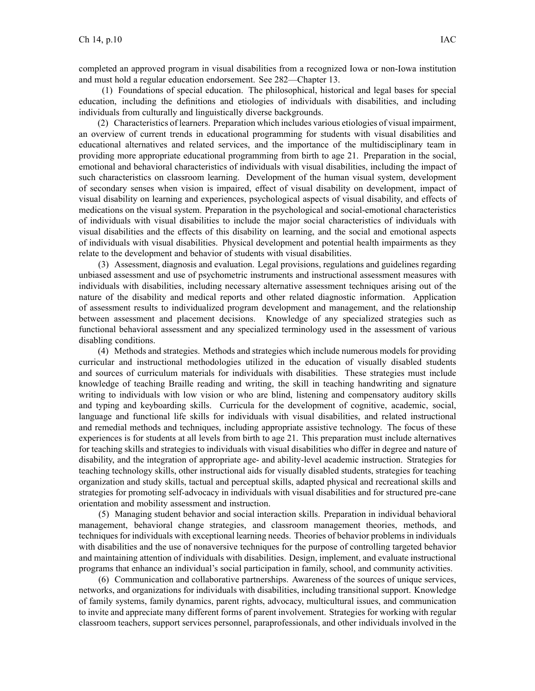completed an approved program in visual disabilities from <sup>a</sup> recognized Iowa or non-Iowa institution and must hold <sup>a</sup> regular education endorsement. See 282—Chapter 13.

(1) Foundations of special education. The philosophical, historical and legal bases for special education, including the definitions and etiologies of individuals with disabilities, and including individuals from culturally and linguistically diverse backgrounds.

(2) Characteristics of learners. Preparation which includes various etiologies of visual impairment, an overview of current trends in educational programming for students with visual disabilities and educational alternatives and related services, and the importance of the multidisciplinary team in providing more appropriate educational programming from birth to age 21. Preparation in the social, emotional and behavioral characteristics of individuals with visual disabilities, including the impact of such characteristics on classroom learning. Development of the human visual system, development of secondary senses when vision is impaired, effect of visual disability on development, impact of visual disability on learning and experiences, psychological aspects of visual disability, and effects of medications on the visual system. Preparation in the psychological and social-emotional characteristics of individuals with visual disabilities to include the major social characteristics of individuals with visual disabilities and the effects of this disability on learning, and the social and emotional aspects of individuals with visual disabilities. Physical development and potential health impairments as they relate to the development and behavior of students with visual disabilities.

(3) Assessment, diagnosis and evaluation. Legal provisions, regulations and guidelines regarding unbiased assessment and use of psychometric instruments and instructional assessment measures with individuals with disabilities, including necessary alternative assessment techniques arising out of the nature of the disability and medical reports and other related diagnostic information. Application of assessment results to individualized program development and management, and the relationship between assessment and placement decisions. Knowledge of any specialized strategies such as functional behavioral assessment and any specialized terminology used in the assessment of various disabling conditions.

(4) Methods and strategies. Methods and strategies which include numerous models for providing curricular and instructional methodologies utilized in the education of visually disabled students and sources of curriculum materials for individuals with disabilities. These strategies must include knowledge of teaching Braille reading and writing, the skill in teaching handwriting and signature writing to individuals with low vision or who are blind, listening and compensatory auditory skills and typing and keyboarding skills. Curricula for the development of cognitive, academic, social, language and functional life skills for individuals with visual disabilities, and related instructional and remedial methods and techniques, including appropriate assistive technology. The focus of these experiences is for students at all levels from birth to age 21. This preparation must include alternatives for teaching skills and strategies to individuals with visual disabilities who differ in degree and nature of disability, and the integration of appropriate age- and ability-level academic instruction. Strategies for teaching technology skills, other instructional aids for visually disabled students, strategies for teaching organization and study skills, tactual and perceptual skills, adapted physical and recreational skills and strategies for promoting self-advocacy in individuals with visual disabilities and for structured pre-cane orientation and mobility assessment and instruction.

(5) Managing student behavior and social interaction skills. Preparation in individual behavioral management, behavioral change strategies, and classroom managemen<sup>t</sup> theories, methods, and techniques for individuals with exceptional learning needs. Theories of behavior problems in individuals with disabilities and the use of nonaversive techniques for the purpose of controlling targeted behavior and maintaining attention of individuals with disabilities. Design, implement, and evaluate instructional programs that enhance an individual's social participation in family, school, and community activities.

(6) Communication and collaborative partnerships. Awareness of the sources of unique services, networks, and organizations for individuals with disabilities, including transitional support. Knowledge of family systems, family dynamics, paren<sup>t</sup> rights, advocacy, multicultural issues, and communication to invite and appreciate many different forms of paren<sup>t</sup> involvement. Strategies for working with regular classroom teachers, suppor<sup>t</sup> services personnel, paraprofessionals, and other individuals involved in the